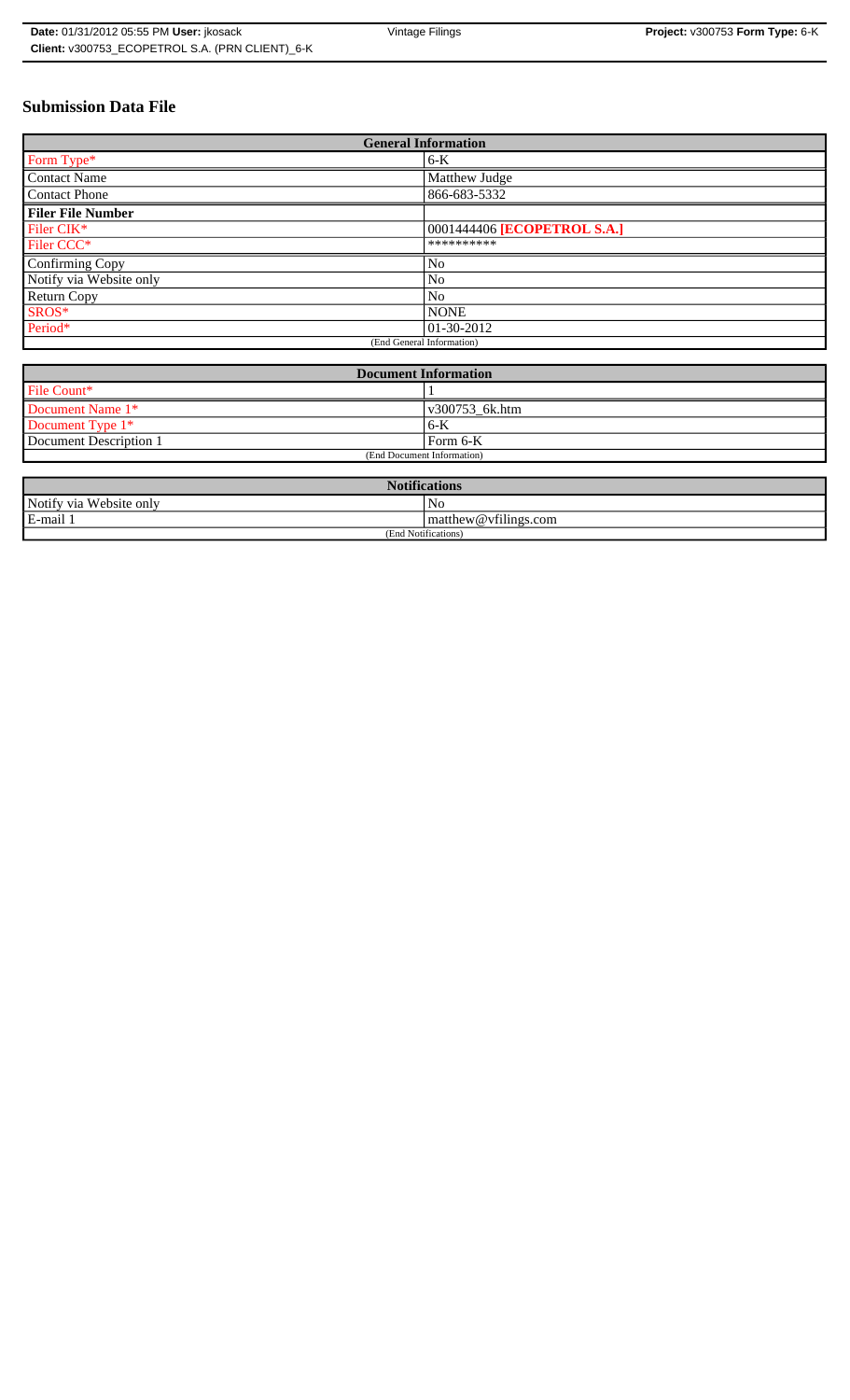| Date: 01/31/2012 05:55 PM User: ikosack         | Vintage Filings | Project: v300753 Form Type: 6-K |
|-------------------------------------------------|-----------------|---------------------------------|
| Client: v300753 ECOPETROL S.A. (PRN CLIENT) 6-K |                 |                                 |

# **Submission Data File**

| <b>General Information</b> |                             |  |
|----------------------------|-----------------------------|--|
| Form Type*                 | $6-K$                       |  |
| <b>Contact Name</b>        | Matthew Judge               |  |
| <b>Contact Phone</b>       | 866-683-5332                |  |
| <b>Filer File Number</b>   |                             |  |
| Filer CIK*                 | 0001444406 [ECOPETROL S.A.] |  |
| Filer CCC*                 | **********                  |  |
| Confirming Copy            | No                          |  |
| Notify via Website only    | N <sub>0</sub>              |  |
| <b>Return Copy</b>         | N <sub>0</sub>              |  |
| SROS*                      | <b>NONE</b>                 |  |
| Period*                    | $ 01-30-2012 $              |  |
| (End General Information)  |                             |  |

| <b>Document Information</b> |                |  |
|-----------------------------|----------------|--|
| File Count*                 |                |  |
| Document Name 1*            | v300753 6k.htm |  |
| Document Type 1*            | $6 - K$        |  |
| Document Description 1      | Form 6-K       |  |
| (End Document Information)  |                |  |

| <b>Notifications</b>       |                                       |  |
|----------------------------|---------------------------------------|--|
| Notify via<br>Website only | No                                    |  |
| E-mail                     | $\sim$ $\sim$<br>matthew@vfilings.com |  |
| 1 Notifications)<br>(End   |                                       |  |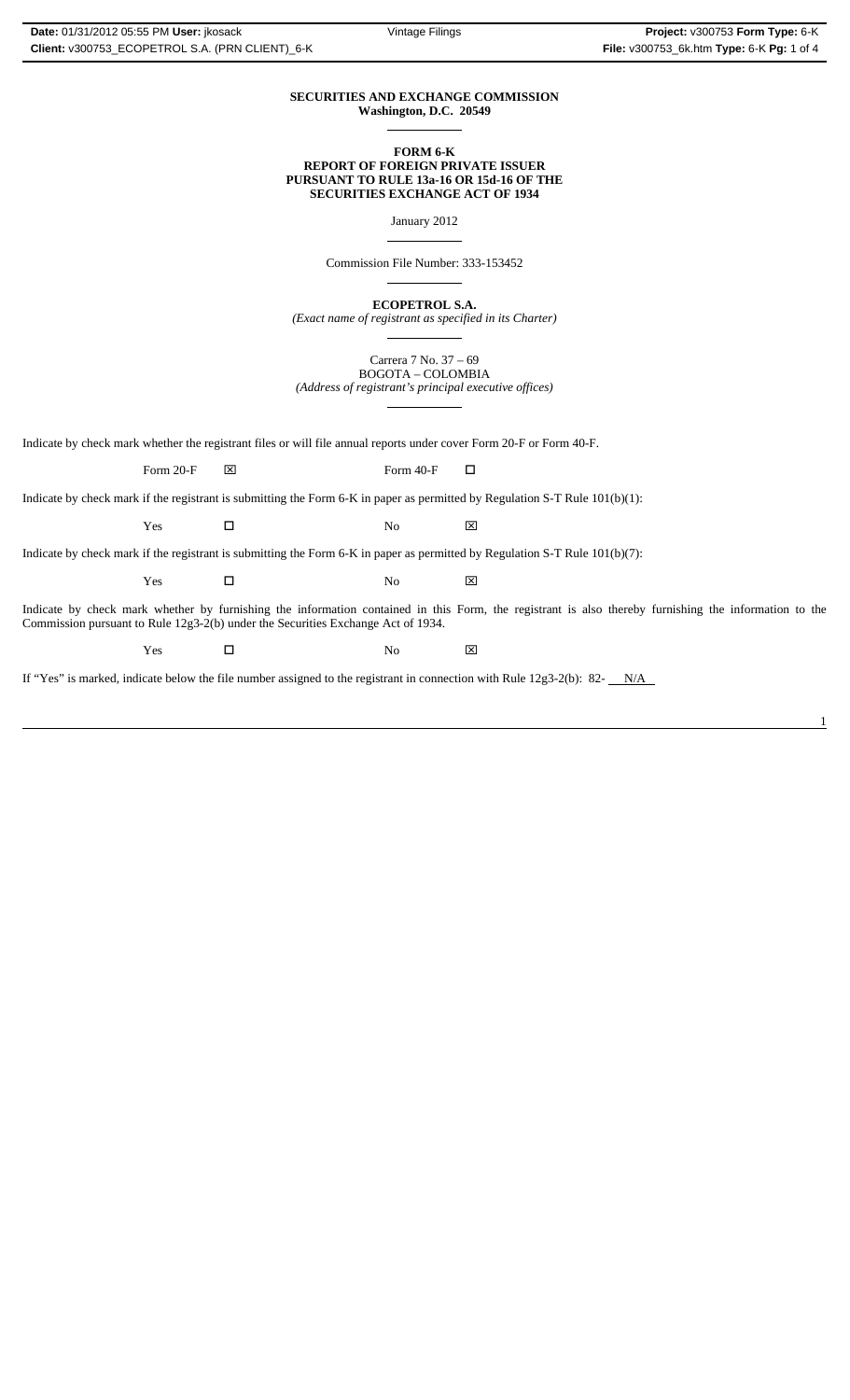#### **SECURITIES AND EXCHANGE COMMISSION Washington, D.C. 20549**  $\overline{a}$

## **FORM 6-K REPORT OF FOREIGN PRIVATE ISSUER PURSUANT TO RULE 13a-16 OR 15d-16 OF THE SECURITIES EXCHANGE ACT OF 1934**

January 2012

 $\overline{a}$ 

 $\overline{a}$ 

 $\overline{a}$ 

 $\overline{a}$ 

Commission File Number: 333-153452

**ECOPETROL S.A.**

*(Exact name of registrant as specified in its Charter)*

Carrera 7 No. 37 – 69 BOGOTA – COLOMBIA *(Address of registrant's principal executive offices)*

Indicate by check mark whether the registrant files or will file annual reports under cover Form 20-F or Form 40-F.

Form 20-F  $\boxtimes$  Form 40-F  $\Box$ 

Indicate by check mark if the registrant is submitting the Form 6-K in paper as permitted by Regulation S-T Rule 101(b)(1):

Yes □ No ⊠

Indicate by check mark if the registrant is submitting the Form 6-K in paper as permitted by Regulation S-T Rule 101(b)(7):

Yes □ No ⊠

Indicate by check mark whether by furnishing the information contained in this Form, the registrant is also thereby furnishing the information to the Commission pursuant to Rule 12g3-2(b) under the Securities Exchange Act of 1934.

 $Yes$   $\square$  No  $X$ 

If "Yes" is marked, indicate below the file number assigned to the registrant in connection with Rule  $12g3-2(b)$ : 82- $N/A$ 

1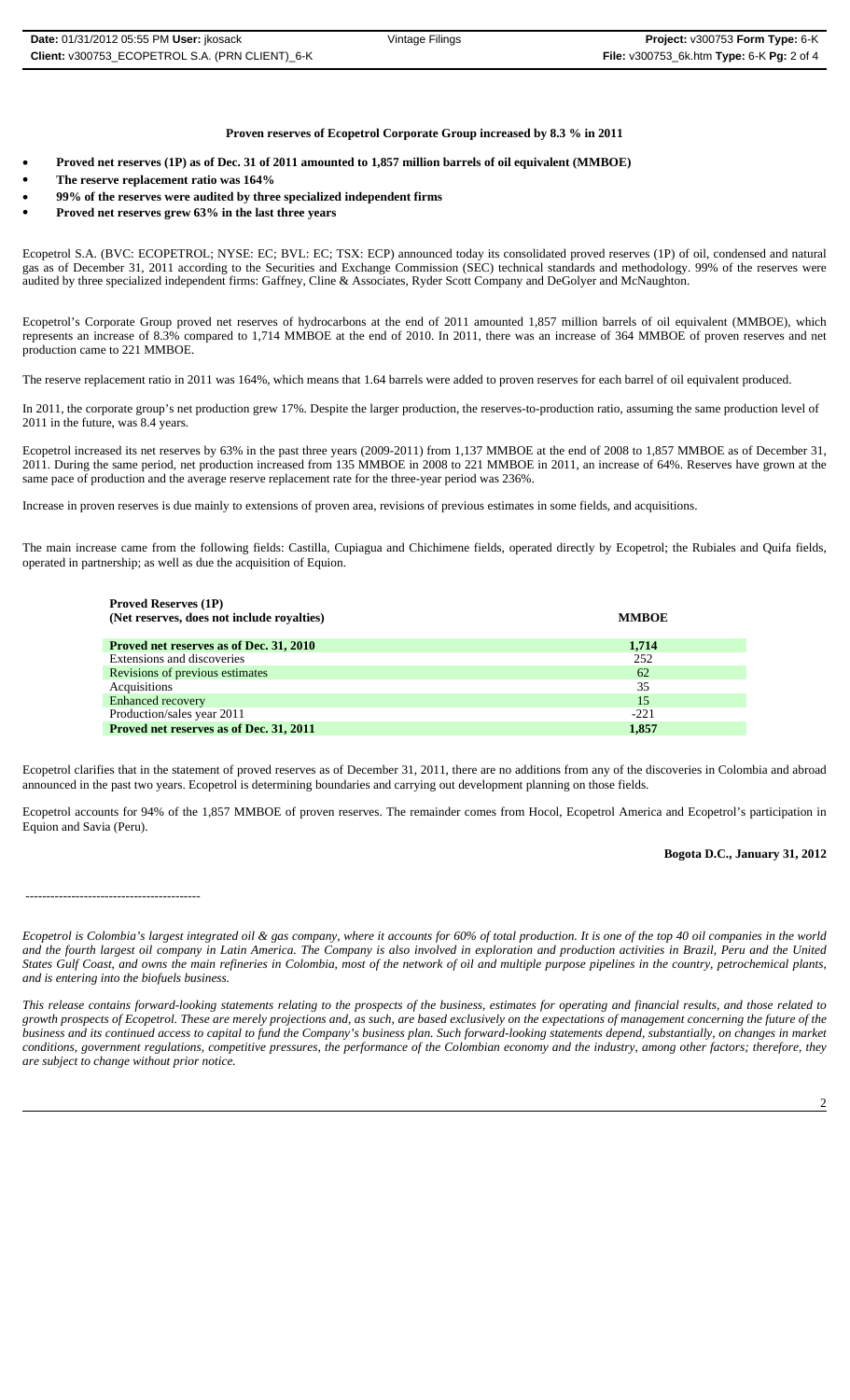# **Proven reserves of Ecopetrol Corporate Group increased by 8.3 % in 2011**

- **Proved net reserves (1P) as of Dec. 31 of 2011 amounted to 1,857 million barrels of oil equivalent (MMBOE)**
- **The reserve replacement ratio was 164%**
- **99% of the reserves were audited by three specialized independent firms**
- **Proved net reserves grew 63% in the last three years**

Ecopetrol S.A. (BVC: ECOPETROL; NYSE: EC; BVL: EC; TSX: ECP) announced today its consolidated proved reserves (1P) of oil, condensed and natural gas as of December 31, 2011 according to the Securities and Exchange Commission (SEC) technical standards and methodology. 99% of the reserves were audited by three specialized independent firms: Gaffney, Cline & Associates, Ryder Scott Company and DeGolyer and McNaughton.

Ecopetrol's Corporate Group proved net reserves of hydrocarbons at the end of 2011 amounted 1,857 million barrels of oil equivalent (MMBOE), which represents an increase of 8.3% compared to 1,714 MMBOE at the end of 2010. In 2011, there was an increase of 364 MMBOE of proven reserves and net production came to 221 MMBOE.

The reserve replacement ratio in 2011 was 164%, which means that 1.64 barrels were added to proven reserves for each barrel of oil equivalent produced.

In 2011, the corporate group's net production grew 17%. Despite the larger production, the reserves-to-production ratio, assuming the same production level of 2011 in the future, was 8.4 years.

Ecopetrol increased its net reserves by 63% in the past three years (2009-2011) from 1,137 MMBOE at the end of 2008 to 1,857 MMBOE as of December 31, 2011. During the same period, net production increased from 135 MMBOE in 2008 to 221 MMBOE in 2011, an increase of 64%. Reserves have grown at the same pace of production and the average reserve replacement rate for the three-year period was 236%.

Increase in proven reserves is due mainly to extensions of proven area, revisions of previous estimates in some fields, and acquisitions.

The main increase came from the following fields: Castilla, Cupiagua and Chichimene fields, operated directly by Ecopetrol; the Rubiales and Quifa fields, operated in partnership; as well as due the acquisition of Equion.

| <b>Proved Reserves (1P)</b>                |              |
|--------------------------------------------|--------------|
| (Net reserves, does not include royalties) | <b>MMBOE</b> |
|                                            |              |
| Proved net reserves as of Dec. 31, 2010    | 1,714        |
| Extensions and discoveries                 | 252          |
| Revisions of previous estimates            | 62           |
| Acquisitions                               | 35           |
| <b>Enhanced recovery</b>                   | 15           |
| Production/sales year 2011                 | $-221$       |
| Proved net reserves as of Dec. 31, 2011    | 1,857        |

Ecopetrol clarifies that in the statement of proved reserves as of December 31, 2011, there are no additions from any of the discoveries in Colombia and abroad announced in the past two years. Ecopetrol is determining boundaries and carrying out development planning on those fields.

Ecopetrol accounts for 94% of the 1,857 MMBOE of proven reserves. The remainder comes from Hocol, Ecopetrol America and Ecopetrol's participation in Equion and Savia (Peru).

## **Bogota D.C., January 31, 2012**

 <sup>------------------------------------------</sup> 

*Ecopetrol is Colombia's largest integrated oil & gas company, where it accounts for 60% of total production. It is one of the top 40 oil companies in the world and the fourth largest oil company in Latin America. The Company is also involved in exploration and production activities in Brazil, Peru and the United States Gulf Coast, and owns the main refineries in Colombia, most of the network of oil and multiple purpose pipelines in the country, petrochemical plants, and is entering into the biofuels business.*

*This release contains forward-looking statements relating to the prospects of the business, estimates for operating and financial results, and those related to growth prospects of Ecopetrol. These are merely projections and, as such, are based exclusively on the expectations of management concerning the future of the business and its continued access to capital to fund the Company's business plan. Such forward-looking statements depend, substantially, on changes in market conditions, government regulations, competitive pressures, the performance of the Colombian economy and the industry, among other factors; therefore, they are subject to change without prior notice.*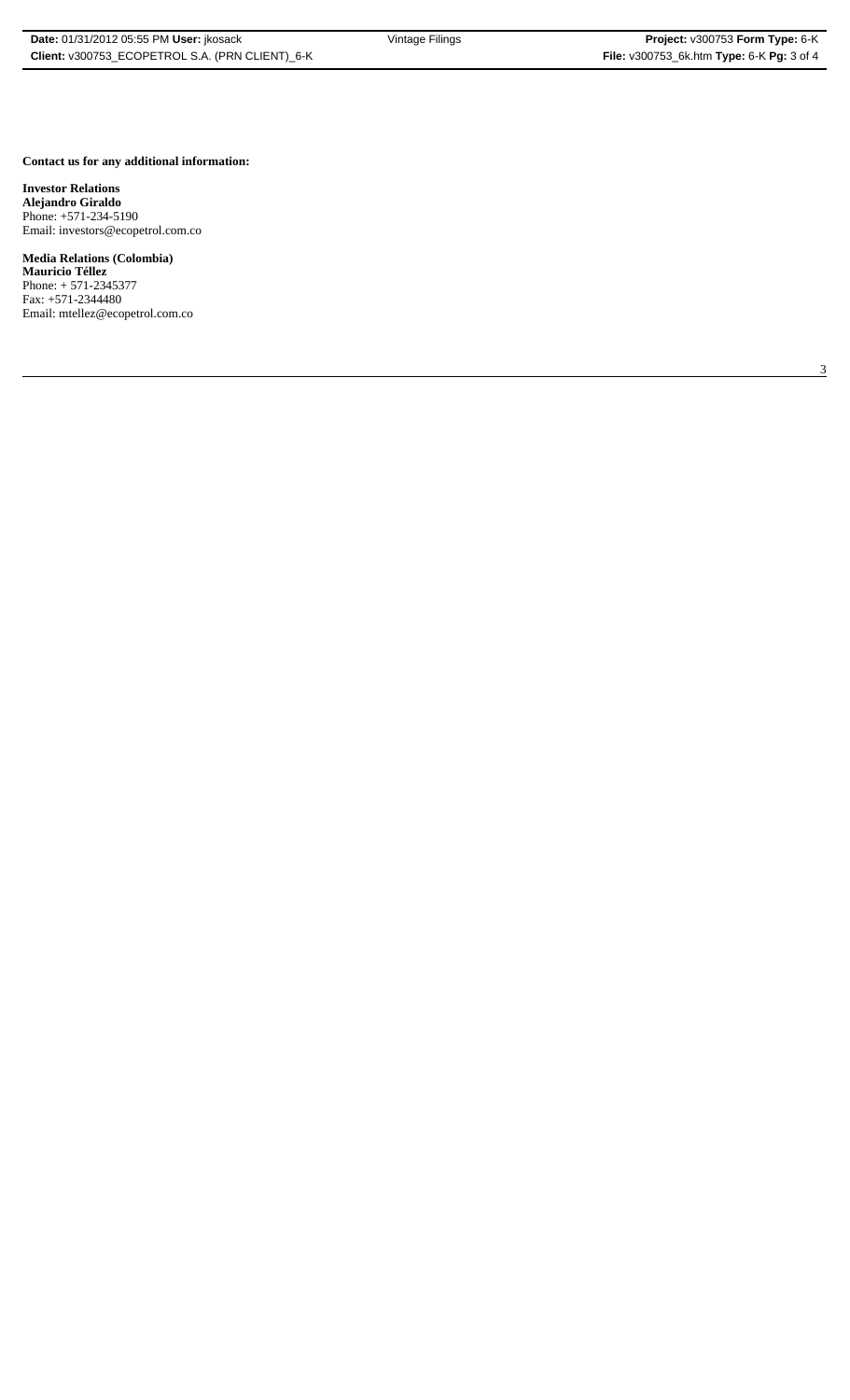3

#### **Contact us for any additional information:**

**Investor Relations Alejandro Giraldo** Phone: +571-234-5190 Email: investors@ecopetrol.com.co

# **Media Relations (Colombia)**

**Mauricio Téllez** Phone: + 571-2345377 Fax: +571-2344480 Email: mtellez@ecopetrol.com.co